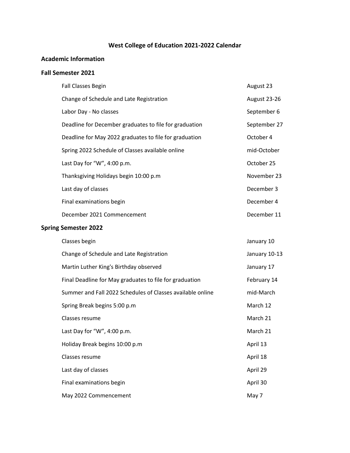# **West College of Education 2021-2022 Calendar**

## **Academic Information**

#### **Fall Semester 2021**

|                             | <b>Fall Classes Begin</b>                              | August 23    |
|-----------------------------|--------------------------------------------------------|--------------|
|                             | Change of Schedule and Late Registration               | August 23-26 |
|                             | Labor Day - No classes                                 | September 6  |
|                             | Deadline for December graduates to file for graduation | September 27 |
|                             | Deadline for May 2022 graduates to file for graduation | October 4    |
|                             | Spring 2022 Schedule of Classes available online       | mid-October  |
|                             | Last Day for "W", $4:00$ p.m.                          | October 25   |
|                             | Thanksgiving Holidays begin 10:00 p.m                  | November 23  |
|                             | Last day of classes                                    | December 3   |
|                             | Final examinations begin                               | December 4   |
|                             | December 2021 Commencement                             | December 11  |
| <b>Spring Semester 2022</b> |                                                        |              |

| Classes begin                                              | January 10    |
|------------------------------------------------------------|---------------|
| Change of Schedule and Late Registration                   | January 10-13 |
| Martin Luther King's Birthday observed                     | January 17    |
| Final Deadline for May graduates to file for graduation    | February 14   |
| Summer and Fall 2022 Schedules of Classes available online | mid-March     |
| Spring Break begins 5:00 p.m.                              | March 12      |
| Classes resume                                             | March 21      |
| Last Day for "W", 4:00 p.m.                                | March 21      |
| Holiday Break begins 10:00 p.m                             | April 13      |
| Classes resume                                             | April 18      |
| Last day of classes                                        | April 29      |
| Final examinations begin                                   | April 30      |
| May 2022 Commencement                                      | May 7         |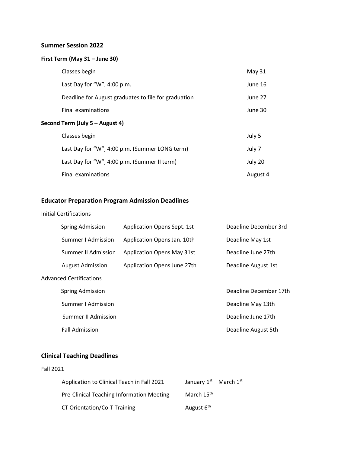#### **Summer Session 2022**

## **First Term (May 31 – June 30)**

|                                 | Classes begin                                        | May 31  |
|---------------------------------|------------------------------------------------------|---------|
|                                 | Last Day for "W", 4:00 p.m.                          | June 16 |
|                                 | Deadline for August graduates to file for graduation | June 27 |
|                                 | Final examinations                                   | June 30 |
| Second Term (July 5 – August 4) |                                                      |         |
|                                 | Classes begin                                        | July 5  |
|                                 | Last Day for "W", 4:00 p.m. (Summer LONG term)       | July 7  |
|                                 | Last Day for "W", 4:00 p.m. (Summer II term)         | July 20 |

Final examinations and the set of the set of the set of the set of the set of the August 4

## **Educator Preparation Program Admission Deadlines**

#### Initial Certifications

| Spring Admission           | Application Opens Sept. 1st       | Deadline December 3rd  |
|----------------------------|-----------------------------------|------------------------|
| Summer I Admission         | Application Opens Jan. 10th       | Deadline May 1st       |
| Summer II Admission        | <b>Application Opens May 31st</b> | Deadline June 27th     |
| <b>August Admission</b>    | Application Opens June 27th       | Deadline August 1st    |
| Advanced Certifications    |                                   |                        |
| Spring Admission           |                                   | Deadline December 17th |
| Summer I Admission         |                                   | Deadline May 13th      |
| <b>Summer II Admission</b> |                                   | Deadline June 17th     |
| <b>Fall Admission</b>      |                                   | Deadline August 5th    |

## **Clinical Teaching Deadlines**

#### Fall 2021

| Application to Clinical Teach in Fall 2021 | January $1st$ – March $1st$ |
|--------------------------------------------|-----------------------------|
| Pre-Clinical Teaching Information Meeting  | March 15 <sup>th</sup>      |
| CT Orientation/Co-T Training               | August 6 <sup>th</sup>      |